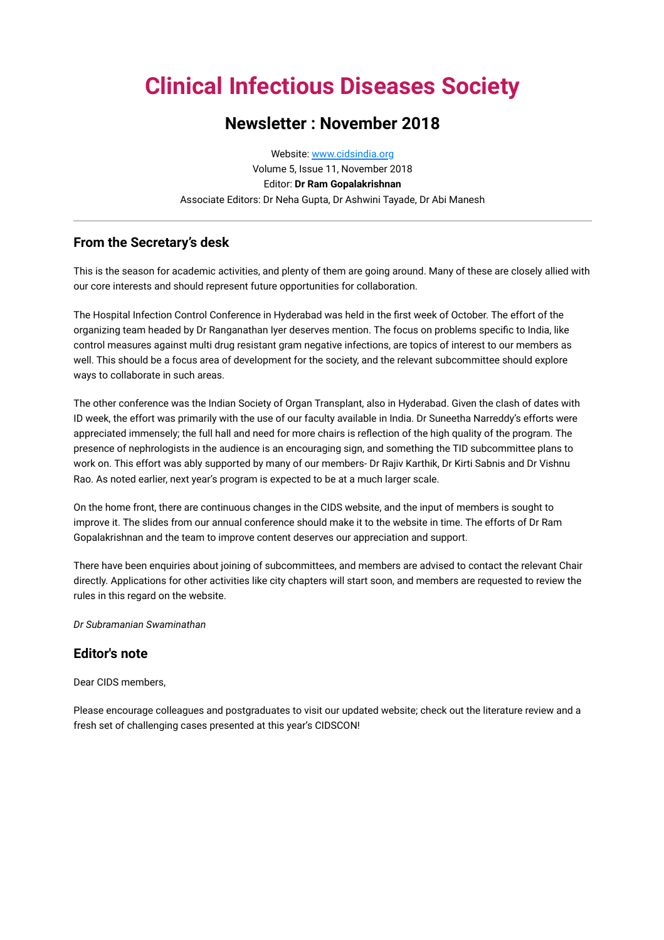# **Clinical Infectious Diseases Society**

# **Newsletter : November 2018**

Website: [www.cidsindia.org](http://www.cidsindia.org/) Volume 5, Issue 11, November 2018 Editor: **Dr Ram Gopalakrishnan** Associate Editors: Dr Neha Gupta, Dr Ashwini Tayade, Dr Abi Manesh

# **From the Secretary's desk**

This is the season for academic activities, and plenty of them are going around. Many of these are closely allied with our core interests and should represent future opportunities for collaboration.

The Hospital Infection Control Conference in Hyderabad was held in the first week of October. The effort of the organizing team headed by Dr Ranganathan Iyer deserves mention. The focus on problems specific to India, like control measures against multi drug resistant gram negative infections, are topics of interest to our members as well. This should be a focus area of development for the society, and the relevant subcommittee should explore ways to collaborate in such areas.

The other conference was the Indian Society of Organ Transplant, also in Hyderabad. Given the clash of dates with ID week, the effort was primarily with the use of our faculty available in India. Dr Suneetha Narreddy's efforts were appreciated immensely; the full hall and need for more chairs is reflection of the high quality of the program. The presence of nephrologists in the audience is an encouraging sign, and something the TID subcommittee plans to work on. This effort was ably supported by many of our members- Dr Rajiv Karthik, Dr Kirti Sabnis and Dr Vishnu Rao. As noted earlier, next year's program is expected to be at a much larger scale.

On the home front, there are continuous changes in the CIDS website, and the input of members is sought to improve it. The slides from our annual conference should make it to the website in time. The efforts of Dr Ram Gopalakrishnan and the team to improve content deserves our appreciation and support.

There have been enquiries about joining of subcommittees, and members are advised to contact the relevant Chair directly. Applications for other activities like city chapters will start soon, and members are requested to review the rules in this regard on the website.

*Dr Subramanian Swaminathan*

# **Editor's note**

Dear CIDS members,

Please encourage colleagues and postgraduates to visit our updated website; check out the literature review and a fresh set of challenging cases presented at this year's CIDSCON!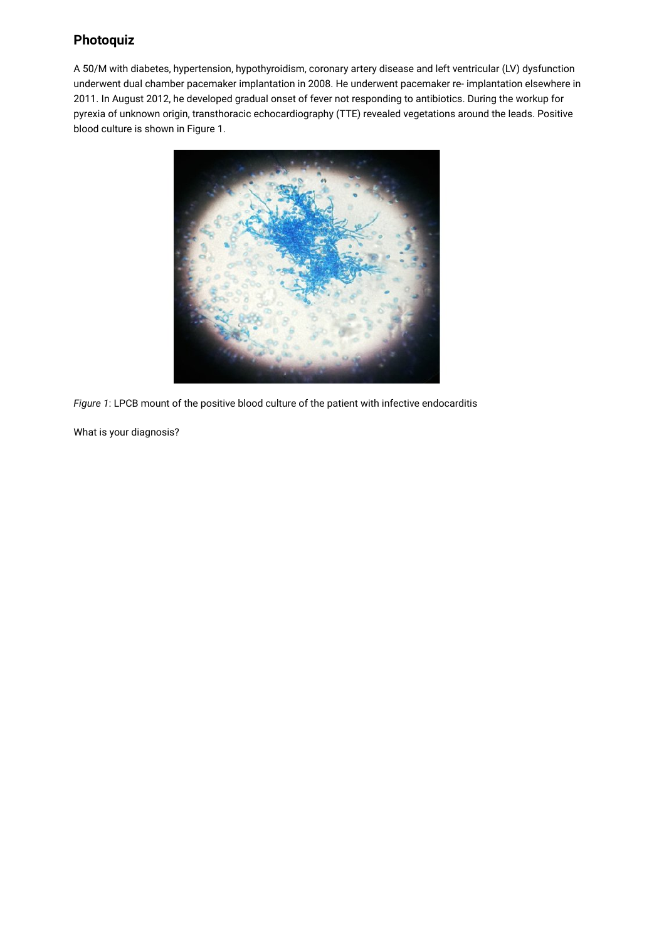# **Photoquiz**

A 50/M with diabetes, hypertension, hypothyroidism, coronary artery disease and left ventricular (LV) dysfunction underwent dual chamber pacemaker implantation in 2008. He underwent pacemaker re- implantation elsewhere in 2011. In August 2012, he developed gradual onset of fever not responding to antibiotics. During the workup for pyrexia of unknown origin, transthoracic echocardiography (TTE) revealed vegetations around the leads. Positive blood culture is shown in Figure 1.



*Figure 1*: LPCB mount of the positive blood culture of the patient with infective endocarditis

What is your diagnosis?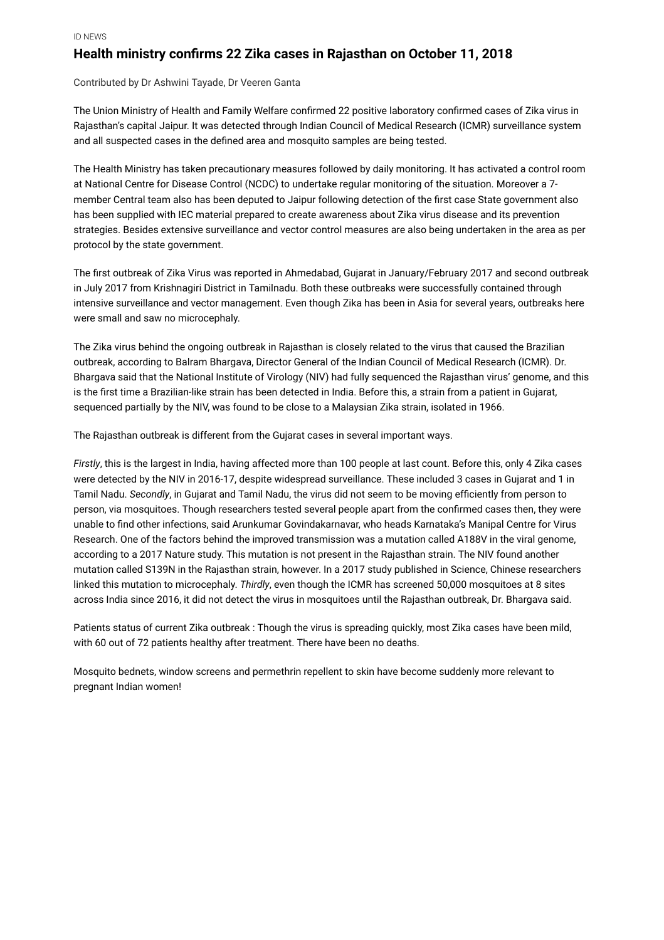ID NEWS

# **Health ministry confirms 22 Zika cases in Rajasthan on October 11, 2018**

#### Contributed by Dr Ashwini Tayade, Dr Veeren Ganta

The Union Ministry of Health and Family Welfare confirmed 22 positive laboratory confirmed cases of Zika virus in Rajasthan's capital Jaipur. It was detected through Indian Council of Medical Research (ICMR) surveillance system and all suspected cases in the defined area and mosquito samples are being tested.

The Health Ministry has taken precautionary measures followed by daily monitoring. It has activated a control room at National Centre for Disease Control (NCDC) to undertake regular monitoring of the situation. Moreover a 7 member Central team also has been deputed to Jaipur following detection of the first case State government also has been supplied with IEC material prepared to create awareness about Zika virus disease and its prevention strategies. Besides extensive surveillance and vector control measures are also being undertaken in the area as per protocol by the state government.

The first outbreak of Zika Virus was reported in Ahmedabad, Gujarat in January/February 2017 and second outbreak in July 2017 from Krishnagiri District in Tamilnadu. Both these outbreaks were successfully contained through intensive surveillance and vector management. Even though Zika has been in Asia for several years, outbreaks here were small and saw no microcephaly.

The Zika virus behind the ongoing outbreak in Rajasthan is closely related to the virus that caused the Brazilian outbreak, according to Balram Bhargava, Director General of the Indian Council of Medical Research (ICMR). Dr. Bhargava said that the National Institute of Virology (NIV) had fully sequenced the Rajasthan virus' genome, and this is the first time a Brazilian-like strain has been detected in India. Before this, a strain from a patient in Gujarat, sequenced partially by the NIV, was found to be close to a Malaysian Zika strain, isolated in 1966.

The Rajasthan outbreak is different from the Gujarat cases in several important ways.

*Firstly*, this is the largest in India, having affected more than 100 people at last count. Before this, only 4 Zika cases were detected by the NIV in 2016-17, despite widespread surveillance. These included 3 cases in Gujarat and 1 in Tamil Nadu. *Secondly*, in Gujarat and Tamil Nadu, the virus did not seem to be moving efficiently from person to person, via mosquitoes. Though researchers tested several people apart from the confirmed cases then, they were unable to find other infections, said Arunkumar Govindakarnavar, who heads Karnataka's Manipal Centre for Virus Research. One of the factors behind the improved transmission was a mutation called A188V in the viral genome, according to a 2017 Nature study. This mutation is not present in the Rajasthan strain. The NIV found another mutation called S139N in the Rajasthan strain, however. In a 2017 study published in Science, Chinese researchers linked this mutation to microcephaly. *Thirdly*, even though the ICMR has screened 50,000 mosquitoes at 8 sites across India since 2016, it did not detect the virus in mosquitoes until the Rajasthan outbreak, Dr. Bhargava said.

Patients status of current Zika outbreak : Though the virus is spreading quickly, most Zika cases have been mild, with 60 out of 72 patients healthy after treatment. There have been no deaths.

Mosquito bednets, window screens and permethrin repellent to skin have become suddenly more relevant to pregnant Indian women!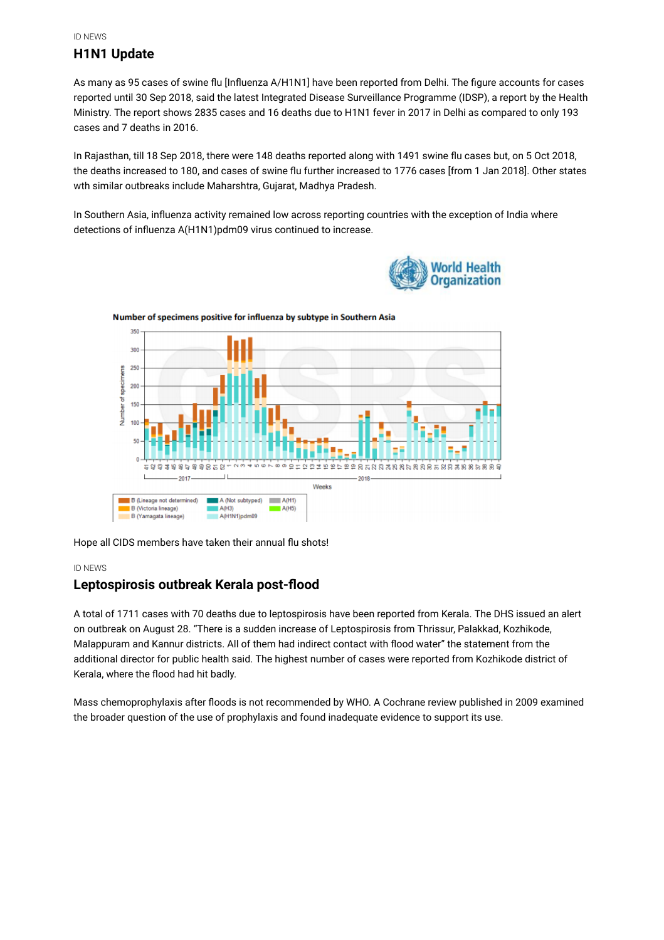# ID NEWS **H1N1 Update**

As many as 95 cases of swine flu [Influenza A/H1N1] have been reported from Delhi. The figure accounts for cases reported until 30 Sep 2018, said the latest Integrated Disease Surveillance Programme (IDSP), a report by the Health Ministry. The report shows 2835 cases and 16 deaths due to H1N1 fever in 2017 in Delhi as compared to only 193 cases and 7 deaths in 2016.

In Rajasthan, till 18 Sep 2018, there were 148 deaths reported along with 1491 swine flu cases but, on 5 Oct 2018, the deaths increased to 180, and cases of swine flu further increased to 1776 cases [from 1 Jan 2018]. Other states wth similar outbreaks include Maharshtra, Gujarat, Madhya Pradesh.

In Southern Asia, influenza activity remained low across reporting countries with the exception of India where detections of influenza A(H1N1)pdm09 virus continued to increase.





Number of specimens positive for influenza by subtype in Southern Asia

Hope all CIDS members have taken their annual flu shots!

#### ID NEWS

## **Leptospirosis outbreak Kerala post-flood**

A total of 1711 cases with 70 deaths due to leptospirosis have been reported from Kerala. The DHS issued an alert on outbreak on August 28. "There is a sudden increase of Leptospirosis from Thrissur, Palakkad, Kozhikode, Malappuram and Kannur districts. All of them had indirect contact with flood water" the statement from the additional director for public health said. The highest number of cases were reported from Kozhikode district of Kerala, where the flood had hit badly.

Mass chemoprophylaxis after floods is not recommended by WHO. A Cochrane review published in 2009 examined the broader question of the use of prophylaxis and found inadequate evidence to support its use.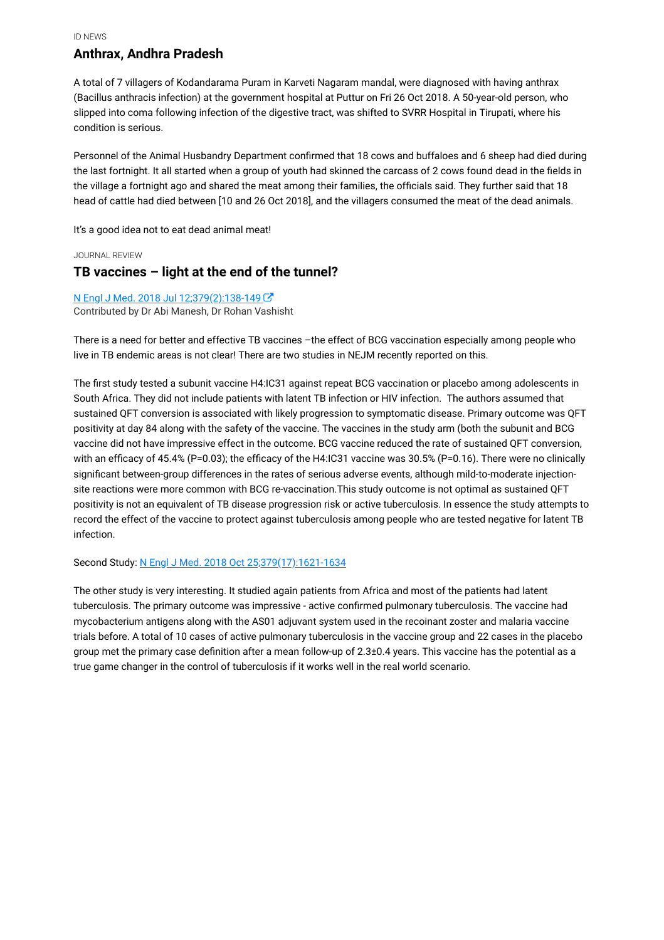ID NEWS

# **Anthrax, Andhra Pradesh**

A total of 7 villagers of Kodandarama Puram in Karveti Nagaram mandal, were diagnosed with having anthrax (Bacillus anthracis infection) at the government hospital at Puttur on Fri 26 Oct 2018. A 50-year-old person, who slipped into coma following infection of the digestive tract, was shifted to SVRR Hospital in Tirupati, where his condition is serious.

Personnel of the Animal Husbandry Department confirmed that 18 cows and buffaloes and 6 sheep had died during the last fortnight. It all started when a group of youth had skinned the carcass of 2 cows found dead in the fields in the village a fortnight ago and shared the meat among their families, the officials said. They further said that 18 head of cattle had died between [10 and 26 Oct 2018], and the villagers consumed the meat of the dead animals.

It's a good idea not to eat dead animal meat!

JOURNAL REVIEW

### **TB vaccines – light at the end of the tunnel?**

[N Engl J Med. 2018 Jul 12;379\(2\):138-149](https://www.ncbi.nlm.nih.gov/pubmed/29996082) 

Contributed by Dr Abi Manesh, Dr Rohan Vashisht

There is a need for better and effective TB vaccines –the effect of BCG vaccination especially among people who live in TB endemic areas is not clear! There are two studies in NEJM recently reported on this.

The first study tested a subunit vaccine H4:IC31 against repeat BCG vaccination or placebo among adolescents in South Africa. They did not include patients with latent TB infection or HIV infection. The authors assumed that sustained QFT conversion is associated with likely progression to symptomatic disease. Primary outcome was QFT positivity at day 84 along with the safety of the vaccine. The vaccines in the study arm (both the subunit and BCG vaccine did not have impressive effect in the outcome. BCG vaccine reduced the rate of sustained QFT conversion, with an efficacy of 45.4% (P=0.03); the efficacy of the H4:IC31 vaccine was 30.5% (P=0.16). There were no clinically significant between-group differences in the rates of serious adverse events, although mild-to-moderate injectionsite reactions were more common with BCG re-vaccination.This study outcome is not optimal as sustained QFT positivity is not an equivalent of TB disease progression risk or active tuberculosis. In essence the study attempts to record the effect of the vaccine to protect against tuberculosis among people who are tested negative for latent TB infection.

Second Study: [N Engl J Med. 2018 Oct 25;379\(17\):1621-1634](https://www.ncbi.nlm.nih.gov/pubmed/30280651)

The other study is very interesting. It studied again patients from Africa and most of the patients had latent tuberculosis. The primary outcome was impressive - active confirmed pulmonary tuberculosis. The vaccine had mycobacterium antigens along with the AS01 adjuvant system used in the recoinant zoster and malaria vaccine trials before. A total of 10 cases of active pulmonary tuberculosis in the vaccine group and 22 cases in the placebo group met the primary case definition after a mean follow-up of 2.3±0.4 years. This vaccine has the potential as a true game changer in the control of tuberculosis if it works well in the real world scenario.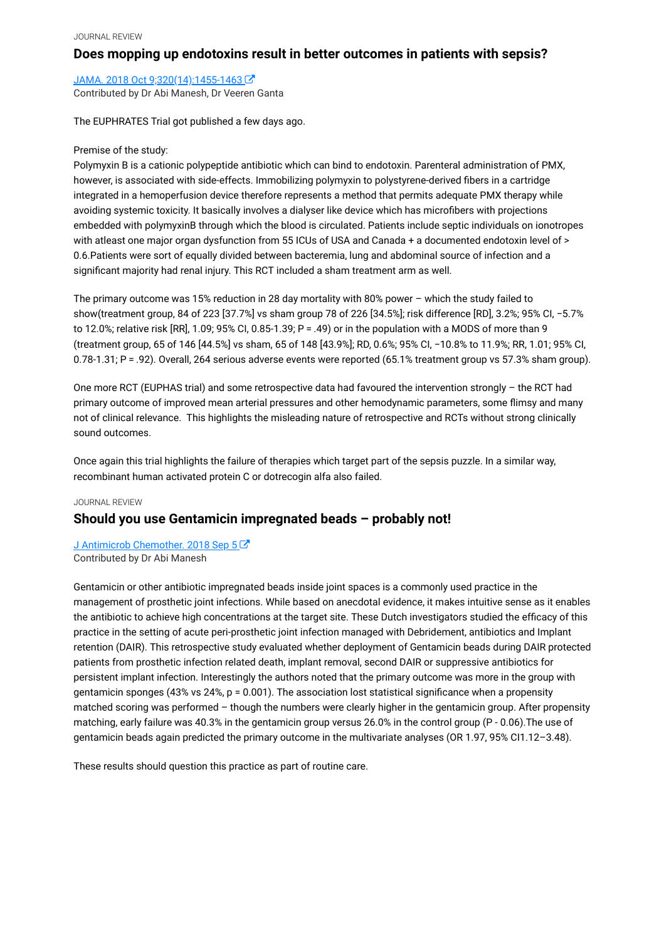#### **Does mopping up endotoxins result in better outcomes in patients with sepsis?**

JAMA. 2018 Oct 9;320(14):1455-1463 Contributed by Dr Abi Manesh, Dr Veeren Ganta

The EUPHRATES Trial got published a few days ago.

#### Premise of the study:

Polymyxin B is a cationic polypeptide antibiotic which can bind to endotoxin. Parenteral administration of PMX, however, is associated with side-effects. Immobilizing polymyxin to polystyrene-derived fibers in a cartridge integrated in a hemoperfusion device therefore represents a method that permits adequate PMX therapy while avoiding systemic toxicity. It basically involves a dialyser like device which has microfibers with projections embedded with polymyxinB through which the blood is circulated. Patients include septic individuals on ionotropes with atleast one major organ dysfunction from 55 ICUs of USA and Canada + a documented endotoxin level of > 0.6.Patients were sort of equally divided between bacteremia, lung and abdominal source of infection and a significant majority had renal injury. This RCT included a sham treatment arm as well.

The primary outcome was 15% reduction in 28 day mortality with 80% power – which the study failed to show(treatment group, 84 of 223 [37.7%] vs sham group 78 of 226 [34.5%]; risk difference [RD], 3.2%; 95% CI, −5.7% to 12.0%; relative risk [RR], 1.09; 95% CI, 0.85-1.39; P = .49) or in the population with a MODS of more than 9 (treatment group, 65 of 146 [44.5%] vs sham, 65 of 148 [43.9%]; RD, 0.6%; 95% CI, −10.8% to 11.9%; RR, 1.01; 95% CI, 0.78-1.31; P = .92). Overall, 264 serious adverse events were reported (65.1% treatment group vs 57.3% sham group).

One more RCT (EUPHAS trial) and some retrospective data had favoured the intervention strongly – the RCT had primary outcome of improved mean arterial pressures and other hemodynamic parameters, some flimsy and many not of clinical relevance. This highlights the misleading nature of retrospective and RCTs without strong clinically sound outcomes.

Once again this trial highlights the failure of therapies which target part of the sepsis puzzle. In a similar way, recombinant human activated protein C or dotrecogin alfa also failed.

#### JOURNAL REVIEW

#### **Should you use Gentamicin impregnated beads – probably not!**

[J Antimicrob Chemother. 2018 Sep 5](https://www.ncbi.nlm.nih.gov/pubmed/30189006)  $\mathbb{Z}$ Contributed by Dr Abi Manesh

Gentamicin or other antibiotic impregnated beads inside joint spaces is a commonly used practice in the management of prosthetic joint infections. While based on anecdotal evidence, it makes intuitive sense as it enables the antibiotic to achieve high concentrations at the target site. These Dutch investigators studied the efficacy of this practice in the setting of acute peri-prosthetic joint infection managed with Debridement, antibiotics and Implant retention (DAIR). This retrospective study evaluated whether deployment of Gentamicin beads during DAIR protected patients from prosthetic infection related death, implant removal, second DAIR or suppressive antibiotics for persistent implant infection. Interestingly the authors noted that the primary outcome was more in the group with gentamicin sponges (43% vs 24%, p = 0.001). The association lost statistical significance when a propensity matched scoring was performed – though the numbers were clearly higher in the gentamicin group. After propensity matching, early failure was 40.3% in the gentamicin group versus 26.0% in the control group (P - 0.06).The use of gentamicin beads again predicted the primary outcome in the multivariate analyses (OR 1.97, 95% CI1.12–3.48).

These results should question this practice as part of routine care.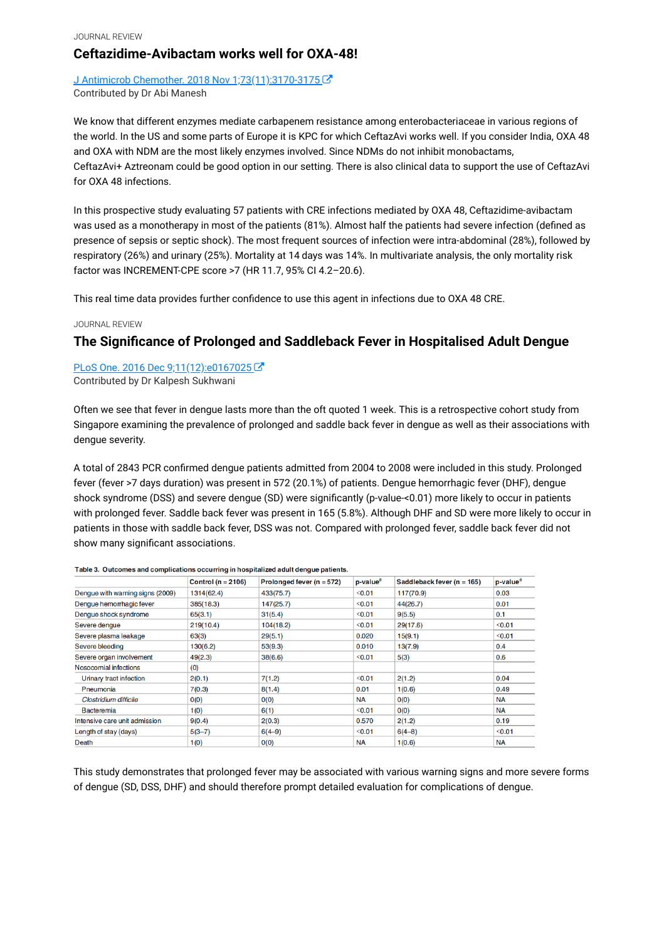#### JOURNAL REVIEW **Ceftazidime-Avibactam works well for OXA-48!**

J Antimicrob Chemother. 2018 Nov 1;73(11):3170-3175 Contributed by Dr Abi Manesh

We know that different enzymes mediate carbapenem resistance among enterobacteriaceae in various regions of the world. In the US and some parts of Europe it is KPC for which CeftazAvi works well. If you consider India, OXA 48 and OXA with NDM are the most likely enzymes involved. Since NDMs do not inhibit monobactams, CeftazAvi+ Aztreonam could be good option in our setting. There is also clinical data to support the use of CeftazAvi for OXA 48 infections.

In this prospective study evaluating 57 patients with CRE infections mediated by OXA 48, Ceftazidime-avibactam was used as a monotherapy in most of the patients (81%). Almost half the patients had severe infection (defined as presence of sepsis or septic shock). The most frequent sources of infection were intra-abdominal (28%), followed by respiratory (26%) and urinary (25%). Mortality at 14 days was 14%. In multivariate analysis, the only mortality risk factor was INCREMENT-CPE score >7 (HR 11.7, 95% CI 4.2–20.6).

This real time data provides further confidence to use this agent in infections due to OXA 48 CRE.

#### JOURNAL REVIEW

# **The Significance of Prolonged and Saddleback Fever in Hospitalised Adult Dengue**

PLoS One. 2016 Dec 9:11(12):e0167025 Contributed by Dr Kalpesh Sukhwani

Often we see that fever in dengue lasts more than the oft quoted 1 week. This is a retrospective cohort study from Singapore examining the prevalence of prolonged and saddle back fever in dengue as well as their associations with dengue severity.

A total of 2843 PCR confirmed dengue patients admitted from 2004 to 2008 were included in this study. Prolonged fever (fever >7 days duration) was present in 572 (20.1%) of patients. Dengue hemorrhagic fever (DHF), dengue shock syndrome (DSS) and severe dengue (SD) were significantly (p-value-<0.01) more likely to occur in patients with prolonged fever. Saddle back fever was present in 165 (5.8%). Although DHF and SD were more likely to occur in patients in those with saddle back fever, DSS was not. Compared with prolonged fever, saddle back fever did not show many significant associations.

|                                  | Control (n = $2106$ ) | Prolonged fever ( $n = 572$ ) | p-value <sup>#</sup> | Saddleback fever ( $n = 165$ ) | p-value <sup>#</sup> |
|----------------------------------|-----------------------|-------------------------------|----------------------|--------------------------------|----------------------|
| Dengue with warning signs (2009) | 1314(62.4)            | 433(75.7)                     | < 0.01               | 117(70.9)                      | 0.03                 |
| Denque hemorrhagic fever         | 385(18.3)             | 147(25.7)                     | < 0.01               | 44(26.7)                       | 0.01                 |
| Denque shock syndrome            | 65(3.1)               | 31(5.4)                       | < 0.01               | 9(5.5)                         | 0.1                  |
| Severe dengue                    | 219(10.4)             | 104(18.2)                     | < 0.01               | 29(17.6)                       | < 0.01               |
| Severe plasma leakage            | 63(3)                 | 29(5.1)                       | 0.020                | 15(9.1)                        | < 0.01               |
| Severe bleeding                  | 130(6.2)              | 53(9.3)                       | 0.010                | 13(7.9)                        | 0.4                  |
| Severe organ involvement         | 49(2.3)               | 38(6.6)                       | < 0.01               | 5(3)                           | 0.6                  |
| Nosocomial infections            | (0)                   |                               |                      |                                |                      |
| Urinary tract infection          | 2(0.1)                | 7(1.2)                        | < 0.01               | 2(1.2)                         | 0.04                 |
| Pneumonia                        | 7(0.3)                | 8(1.4)                        | 0.01                 | 1(0.6)                         | 0.49                 |
| Clostridium difficile            | 0(0)                  | O(0)                          | <b>NA</b>            | 0(0)                           | <b>NA</b>            |
| <b>Bacteremia</b>                | 1(0)                  | 6(1)                          | < 0.01               | O(0)                           | <b>NA</b>            |
| Intensive care unit admission    | 9(0.4)                | 2(0.3)                        | 0.570                | 2(1.2)                         | 0.19                 |
| Length of stay (days)            | $5(3-7)$              | $6(4-9)$                      | < 0.01               | $6(4-8)$                       | < 0.01               |
| Death                            | 1(0)                  | O(0)                          | <b>NA</b>            | 1(0.6)                         | <b>NA</b>            |

Table 3. Outcomes and complications occurring in hospitalized adult dengue patients.

This study demonstrates that prolonged fever may be associated with various warning signs and more severe forms of dengue (SD, DSS, DHF) and should therefore prompt detailed evaluation for complications of dengue.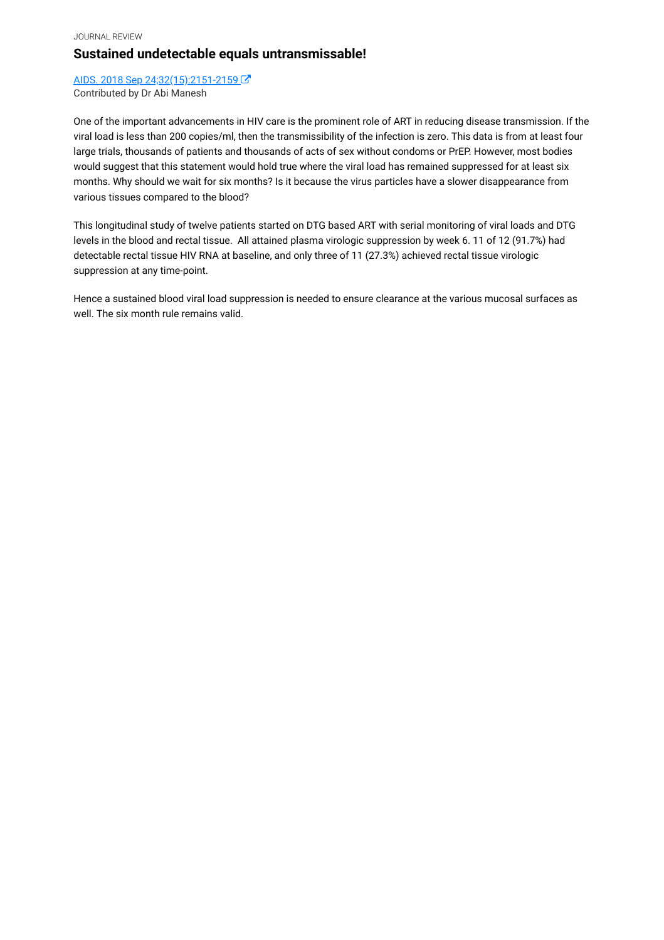# **Sustained undetectable equals untransmissable!**

AIDS. 2018 Sep 24;32(15):2151-2159 Contributed by Dr Abi Manesh

One of the important advancements in HIV care is the prominent role of ART in reducing disease transmission. If the viral load is less than 200 copies/ml, then the transmissibility of the infection is zero. This data is from at least four large trials, thousands of patients and thousands of acts of sex without condoms or PrEP. However, most bodies would suggest that this statement would hold true where the viral load has remained suppressed for at least six months. Why should we wait for six months? Is it because the virus particles have a slower disappearance from various tissues compared to the blood?

This longitudinal study of twelve patients started on DTG based ART with serial monitoring of viral loads and DTG levels in the blood and rectal tissue. All attained plasma virologic suppression by week 6. 11 of 12 (91.7%) had detectable rectal tissue HIV RNA at baseline, and only three of 11 (27.3%) achieved rectal tissue virologic suppression at any time-point.

Hence a sustained blood viral load suppression is needed to ensure clearance at the various mucosal surfaces as well. The six month rule remains valid.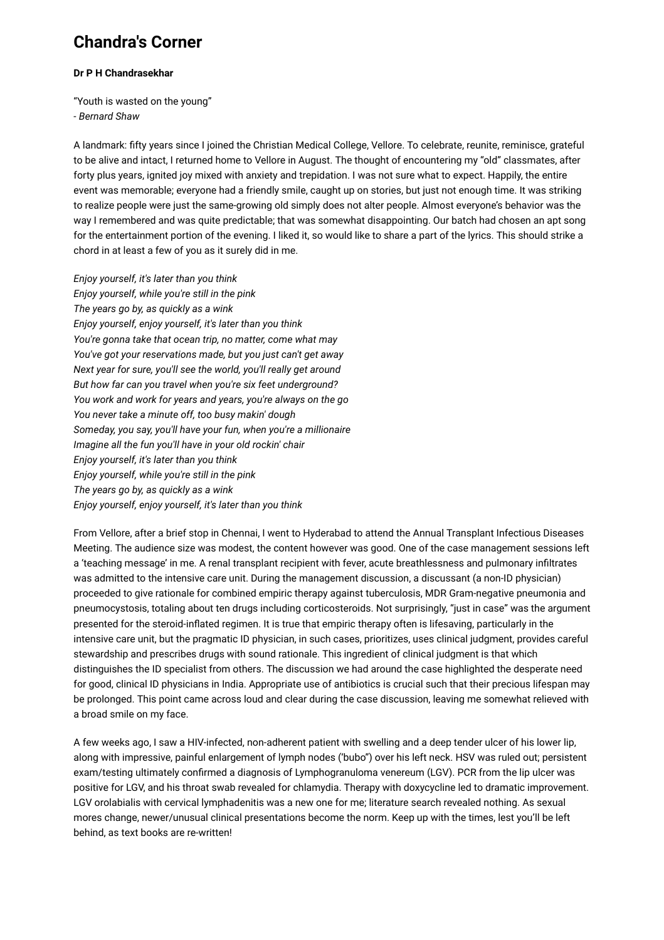# **Chandra's Corner**

#### **Dr P H Chandrasekhar**

"Youth is wasted on the young"

*- Bernard Shaw*

A landmark: fifty years since I joined the Christian Medical College, Vellore. To celebrate, reunite, reminisce, grateful to be alive and intact, I returned home to Vellore in August. The thought of encountering my "old" classmates, after forty plus years, ignited joy mixed with anxiety and trepidation. I was not sure what to expect. Happily, the entire event was memorable; everyone had a friendly smile, caught up on stories, but just not enough time. It was striking to realize people were just the same-growing old simply does not alter people. Almost everyone's behavior was the way I remembered and was quite predictable; that was somewhat disappointing. Our batch had chosen an apt song for the entertainment portion of the evening. I liked it, so would like to share a part of the lyrics. This should strike a chord in at least a few of you as it surely did in me.

*Enjoy yourself, it's later than you think Enjoy yourself, while you're still in the pink The years go by, as quickly as a wink Enjoy yourself, enjoy yourself, it's later than you think You're gonna take that ocean trip, no matter, come what may You've got your reservations made, but you just can't get away Next year for sure, you'll see the world, you'll really get around But how far can you travel when you're six feet underground? You work and work for years and years, you're always on the go You never take a minute off, too busy makin' dough Someday, you say, you'll have your fun, when you're a millionaire Imagine all the fun you'll have in your old rockin' chair Enjoy yourself, it's later than you think Enjoy yourself, while you're still in the pink The years go by, as quickly as a wink Enjoy yourself, enjoy yourself, it's later than you think*

From Vellore, after a brief stop in Chennai, I went to Hyderabad to attend the Annual Transplant Infectious Diseases Meeting. The audience size was modest, the content however was good. One of the case management sessions left a 'teaching message' in me. A renal transplant recipient with fever, acute breathlessness and pulmonary infiltrates was admitted to the intensive care unit. During the management discussion, a discussant (a non-ID physician) proceeded to give rationale for combined empiric therapy against tuberculosis, MDR Gram-negative pneumonia and pneumocystosis, totaling about ten drugs including corticosteroids. Not surprisingly, "just in case" was the argument presented for the steroid-inflated regimen. It is true that empiric therapy often is lifesaving, particularly in the intensive care unit, but the pragmatic ID physician, in such cases, prioritizes, uses clinical judgment, provides careful stewardship and prescribes drugs with sound rationale. This ingredient of clinical judgment is that which distinguishes the ID specialist from others. The discussion we had around the case highlighted the desperate need for good, clinical ID physicians in India. Appropriate use of antibiotics is crucial such that their precious lifespan may be prolonged. This point came across loud and clear during the case discussion, leaving me somewhat relieved with a broad smile on my face.

A few weeks ago, I saw a HIV-infected, non-adherent patient with swelling and a deep tender ulcer of his lower lip, along with impressive, painful enlargement of lymph nodes ('bubo") over his left neck. HSV was ruled out; persistent exam/testing ultimately confirmed a diagnosis of Lymphogranuloma venereum (LGV). PCR from the lip ulcer was positive for LGV, and his throat swab revealed for chlamydia. Therapy with doxycycline led to dramatic improvement. LGV orolabialis with cervical lymphadenitis was a new one for me; literature search revealed nothing. As sexual mores change, newer/unusual clinical presentations become the norm. Keep up with the times, lest you'll be left behind, as text books are re-written!